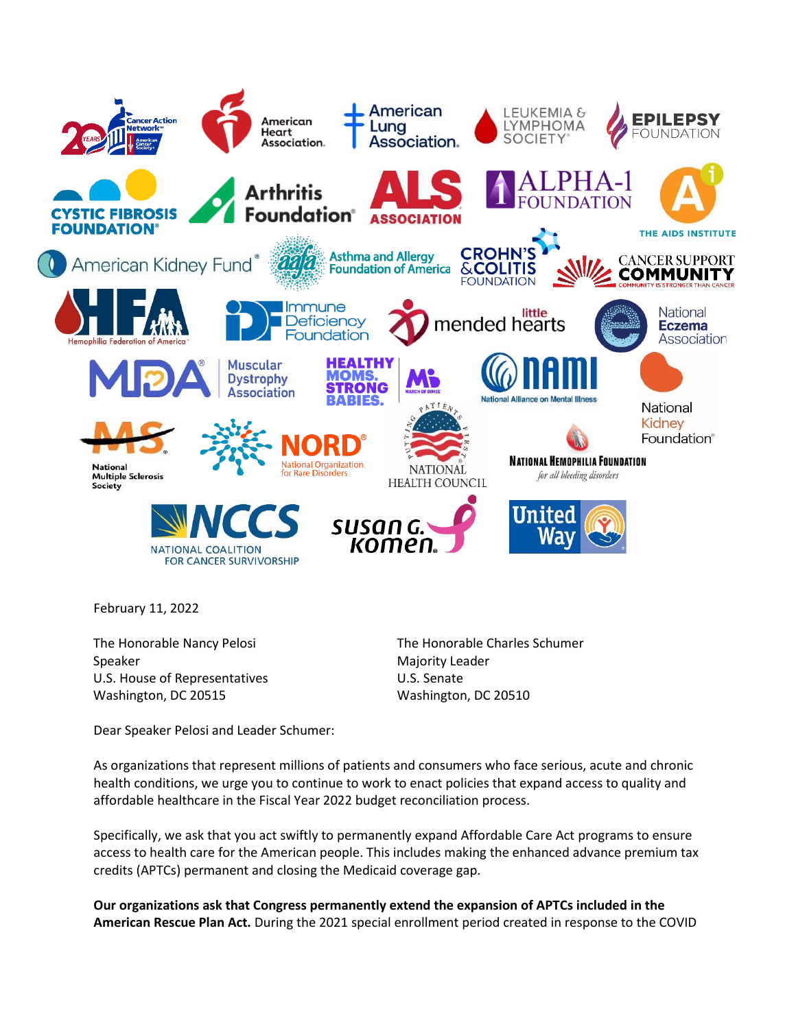

February 11, 2022

The Honorable Nancy Pelosi Speaker U.S. House of Representatives Washington, DC 20515

The Honorable Charles Schumer Majority Leader U.S. Senate Washington, DC 20510

Dear Speaker Pelosi and Leader Schumer:

As organizations that represent millions of patients and consumers who face serious, acute and chronic health conditions, we urge you to continue to work to enact policies that expand access to quality and affordable healthcare in the Fiscal Year 2022 budget reconciliation process.

Specifically, we ask that you act swiftly to permanently expand Affordable Care Act programs to ensure access to health care for the American people. This includes making the enhanced advance premium tax credits (APTCs) permanent and closing the Medicaid coverage gap.

**Our organizations ask that Congress permanently extend the expansion of APTCs included in the American Rescue Plan Act.** During the 2021 special enrollment period created in response to the COVID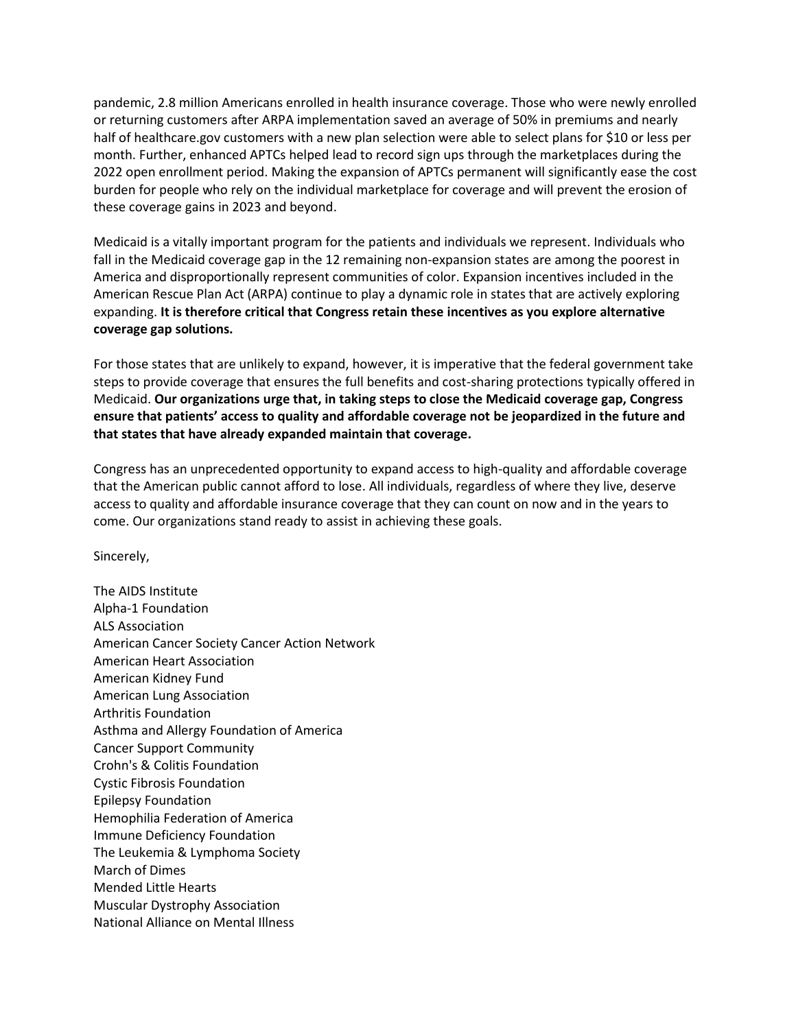pandemic, 2.8 million Americans enrolled in health insurance coverage. Those who were newly enrolled or returning customers after ARPA implementation saved an average of 50% in premiums and nearly half of healthcare.gov customers with a new plan selection were able to select plans for \$10 or less per month. Further, enhanced APTCs helped lead to record sign ups through the marketplaces during the 2022 open enrollment period. Making the expansion of APTCs permanent will significantly ease the cost burden for people who rely on the individual marketplace for coverage and will prevent the erosion of these coverage gains in 2023 and beyond.

Medicaid is a vitally important program for the patients and individuals we represent. Individuals who fall in the Medicaid coverage gap in the 12 remaining non-expansion states are among the poorest in America and disproportionally represent communities of color. Expansion incentives included in the American Rescue Plan Act (ARPA) continue to play a dynamic role in states that are actively exploring expanding. **It is therefore critical that Congress retain these incentives as you explore alternative coverage gap solutions.**

For those states that are unlikely to expand, however, it is imperative that the federal government take steps to provide coverage that ensures the full benefits and cost-sharing protections typically offered in Medicaid. **Our organizations urge that, in taking steps to close the Medicaid coverage gap, Congress ensure that patients' access to quality and affordable coverage not be jeopardized in the future and that states that have already expanded maintain that coverage.**

Congress has an unprecedented opportunity to expand access to high-quality and affordable coverage that the American public cannot afford to lose. All individuals, regardless of where they live, deserve access to quality and affordable insurance coverage that they can count on now and in the years to come. Our organizations stand ready to assist in achieving these goals.

Sincerely,

The AIDS Institute Alpha-1 Foundation ALS Association American Cancer Society Cancer Action Network American Heart Association American Kidney Fund American Lung Association Arthritis Foundation Asthma and Allergy Foundation of America Cancer Support Community Crohn's & Colitis Foundation Cystic Fibrosis Foundation Epilepsy Foundation Hemophilia Federation of America Immune Deficiency Foundation The Leukemia & Lymphoma Society March of Dimes Mended Little Hearts Muscular Dystrophy Association National Alliance on Mental Illness